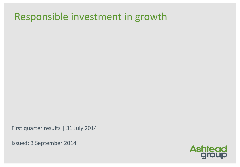## Responsible investment in growth

First quarter results | 31 July 2014

Issued: 3 September 2014

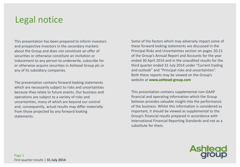### Legal notice

This presentation has been prepared to inform investors and prospective investors in the secondary markets about the Group and does not constitute an offer of securities or otherwise constitute an invitation or inducement to any person to underwrite, subscribe for or otherwise acquire securities in Ashtead Group plc or any of its subsidiary companies.

The presentation contains forward looking statements which are necessarily subject to risks and uncertainties because they relate to future events. Our business and operations are subject to a variety of risks and uncertainties, many of which are beyond our control and, consequently, actual results may differ materially from those projected by any forward looking statements.

Some of the factors which may adversely impact some of these forward looking statements are discussed in the Principal Risks and Uncertainties section on pages 20-21 of the Group's Annual Report and Accounts for the year ended 30 April 2014 and in the unaudited results for the third quarter ended 31 July 2014 under "Current trading and outlook" and "Principal risks and uncertainties". Both these reports may be viewed on the Group's website at **www.ashtead-group.com**

This presentation contains supplemental non-GAAP financial and operating information which the Group believes provides valuable insight into the performance of the business. Whilst this information is considered as important, it should be viewed as supplemental to the Group's financial results prepared in accordance with International Financial Reporting Standards and not as a substitute for them.

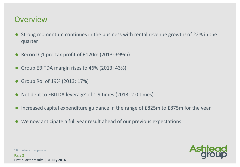#### **Overview**

- Strong momentum continues in the business with rental revenue growth<sup>1</sup> of 22% in the quarter
- Record Q1 pre-tax profit of £120m (2013: £99m)
- Group EBITDA margin rises to 46% (2013: 43%)
- Group RoI of 19% (2013: 17%)
- $\bullet$  Net debt to EBITDA leverage<sup>1</sup> of 1.9 times (2013: 2.0 times)
- Increased capital expenditure guidance in the range of £825m to £875m for the year
- We now anticipate a full year result ahead of our previous expectations



<sup>1</sup> At constant exchange rates

Page 2 First quarter results | **31 July 2014**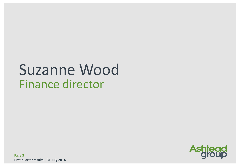# Suzanne Wood Finance director

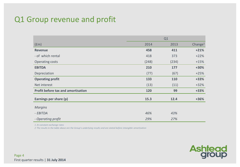#### Q1 Group revenue and profit

|                                           | Q1    |       |                     |
|-------------------------------------------|-------|-------|---------------------|
| (f <sub>em</sub> )                        | 2014  | 2013  | Change <sup>1</sup> |
| <b>Revenue</b>                            | 458   | 411   | $+21%$              |
| - of which rental                         | 418   | 373   | $+22%$              |
| Operating costs                           | (248) | (234) | $+15%$              |
| <b>EBITDA</b>                             | 210   | 177   | $+30%$              |
| Depreciation                              | (77)  | (67)  | $+25%$              |
| <b>Operating profit</b>                   | 133   | 110   | $+33%$              |
| Net interest                              | (13)  | (11)  | $+32%$              |
| <b>Profit before tax and amortisation</b> | 120   | 99    | $+33%$              |
| Earnings per share (p)                    | 15.3  | 12.4  | $+36%$              |
| <b>Margins</b>                            |       |       |                     |
| - EBITDA                                  | 46%   | 43%   |                     |
| - Operating profit                        | 29%   | 27%   |                     |

*1 At constant exchange rates*

*2 The results in the table above are the Group's underlying results and are stated before intangible amortisation*

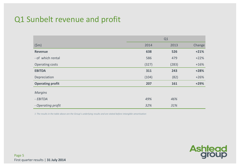#### Q1 Sunbelt revenue and profit

|                         | Q1    |       |        |
|-------------------------|-------|-------|--------|
| (5m)                    | 2014  | 2013  | Change |
| <b>Revenue</b>          | 638   | 526   | $+21%$ |
| - of which rental       | 586   | 479   | $+22%$ |
| Operating costs         | (327) | (283) | $+16%$ |
| <b>EBITDA</b>           | 311   | 243   | $+28%$ |
| Depreciation            | (104) | (82)  | $+26%$ |
| <b>Operating profit</b> | 207   | 161   | $+29%$ |
| <b>Margins</b>          |       |       |        |
| - EBITDA                | 49%   | 46%   |        |
| - Operating profit      | 32%   | 31%   |        |

*1 The results in the table above are the Group's underlying results and are stated before intangible amortisation*

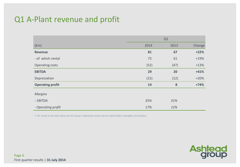#### Q1 A-Plant revenue and profit

|                         | Q1   |      |        |  |
|-------------------------|------|------|--------|--|
| (fm)                    | 2014 | 2013 | Change |  |
| <b>Revenue</b>          | 81   | 67   | $+22%$ |  |
| - of which rental       | 72   | 61   | $+19%$ |  |
| Operating costs         | (52) | (47) | $+13%$ |  |
| <b>EBITDA</b>           | 29   | 20   | $+41%$ |  |
| Depreciation            | (15) | (12) | $+20%$ |  |
| <b>Operating profit</b> | 14   | 8    | $+74%$ |  |
| <b>Margins</b>          |      |      |        |  |
| - EBITDA                | 35%  | 31%  |        |  |
| - Operating profit      | 17%  | 12%  |        |  |

*1 The results in the table above are the Group's underlying results and are stated before intangible amortisation*

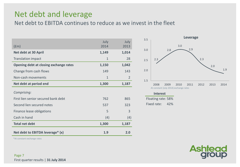#### Net debt and leverage

Net debt to EBITDA continues to reduce as we invest in the fleet

| $(\text{fm})$                          | July<br>2014 | July<br>2013   |
|----------------------------------------|--------------|----------------|
| <b>Net debt at 30 April</b>            | 1,149        | 1,014          |
| <b>Translation impact</b>              | $\mathbf{1}$ | 28             |
| Opening debt at closing exchange rates | 1,150        | 1,042          |
| Change from cash flows                 | 149          | 143            |
| Non-cash movements                     | $\mathbf{1}$ | $\overline{2}$ |
| Net debt at period end                 | 1,300        | 1,187          |
| Comprising:                            |              |                |
| First lien senior secured bank debt    | 762          | 865            |
| Second lien secured notes              | 537          | 323            |
| Finance lease obligations              | 5            | $\overline{3}$ |
| Cash in hand                           | (4)          | (4)            |
| <b>Total net debt</b>                  | 1,300        | 1,187          |
| Net debt to EBITDA leverage* (x)       | 1.9          | 2.0            |



#### **Interest**

Floating rate: 58% Fixed rate: 42%



\*At constant exchange rates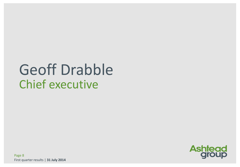# Geoff Drabble Chief executive



Page 8 First quarter results | **31 July 2014**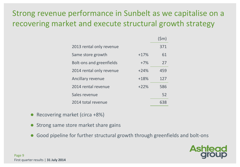#### Strong revenue performance in Sunbelt as we capitalise on a recovering market and execute structural growth strategy

|                                 |        | (Sm) |
|---------------------------------|--------|------|
| 2013 rental only revenue        |        | 371  |
| Same store growth               | $+17%$ | 61   |
| <b>Bolt-ons and greenfields</b> | $+7%$  | 27   |
| 2014 rental only revenue        | $+24%$ | 459  |
| Ancillary revenue               | $+18%$ | 127  |
| 2014 rental revenue             | $+22%$ | 586  |
| Sales revenue                   |        | 52   |
| 2014 total revenue              |        |      |

- Recovering market (circa +8%)
- Strong same store market share gains
- Good pipeline for further structural growth through greenfields and bolt-ons

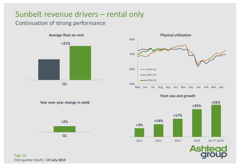#### Sunbelt revenue drivers – rental only

#### Continuation of strong performance







**Fleet size and growth**



**Year over year change in yield**

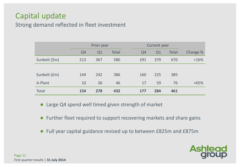#### Capital update

#### Strong demand reflected in fleet investment

|               | Prior year     |     |       | Current year   |                |              |          |
|---------------|----------------|-----|-------|----------------|----------------|--------------|----------|
|               | Q <sub>4</sub> | Q1  | Total | Q <sub>4</sub> | Q <sub>1</sub> | <b>Total</b> | Change % |
| Sunbelt (\$m) | 213            | 367 | 580   | 291            | 379            | 670          | $+16%$   |
|               |                |     |       |                |                |              |          |
| Sunbelt (£m)  | 144            | 242 | 386   | 160            | 225            | 385          |          |
| A-Plant       | 10             | 36  | 46    |                | 17<br>59       | 76           | $+65%$   |
| <b>Total</b>  | 154            | 278 | 432   | 177            | 284            | 461          |          |

• Large Q4 spend well timed given strength of market

- Further fleet required to support recovering markets and share gains
- Full year capital guidance revised up to between £825m and £875m

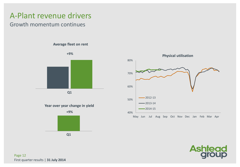#### A-Plant revenue drivers

#### Growth momentum continues

**Average fleet on rent**



**Q1**



**Q1**





Page 12 First quarter results | **31 July 2014**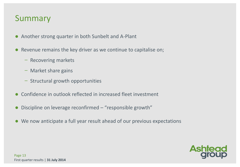#### Summary

- Another strong quarter in both Sunbelt and A-Plant
- Revenue remains the key driver as we continue to capitalise on;
	- ̶ Recovering markets
	- ̶ Market share gains
	- ̶ Structural growth opportunities
- Confidence in outlook reflected in increased fleet investment
- Discipline on leverage reconfirmed "responsible growth"
- We now anticipate a full year result ahead of our previous expectations

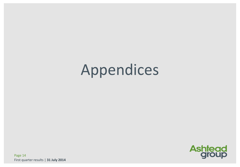# Appendices



Page 14 First quarter results | **31 July 2014**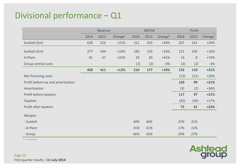#### Divisional performance – Q1

|                                    | Revenue                  |      |            |      | <b>EBITDA</b> |            | Profit |      |            |  |
|------------------------------------|--------------------------|------|------------|------|---------------|------------|--------|------|------------|--|
|                                    | 2014                     | 2013 | Change $1$ | 2014 | 2013          | Change $1$ | 2014   | 2013 | Change $1$ |  |
| Sunbelt (\$m)                      | 638                      | 526  | $+21%$     | 311  | 243           | $+28%$     | 207    | 161  | $+29%$     |  |
| Sunbelt (£m)                       | 377                      | 344  | $+10%$     | 183  | 159           | $+16%$     | 121    | 104  | $+16%$     |  |
| A-Plant                            | 81                       | 67   | $+22%$     | 29   | 20            | $+41%$     | 14     | 8    | $+74%$     |  |
| Group central costs                | $\overline{\phantom{a}}$ | -    |            | (2)  | (2)           | $-4%$      | (2)    | (2)  | $-4%$      |  |
|                                    | 458                      | 411  | $+12%$     | 210  | 177           | $+19%$     | 133    | 110  | $+21%$     |  |
| Net financing costs                |                          |      |            |      |               |            | (13)   | (11) | $+20%$     |  |
| Profit before tax and amortisation |                          |      |            |      |               |            | 120    | 99   | $+21%$     |  |
| Amortisation                       |                          |      |            |      |               |            | (3)    | (2)  | $+36%$     |  |
| Profit before taxation             |                          |      |            |      |               |            | 117    | 97   | $+21%$     |  |
| Taxation                           |                          |      |            |      |               |            | (42)   | (36) | $+17%$     |  |
| Profit after taxation              |                          |      |            |      |               |            | 75     | 61   | $+23%$     |  |
| <b>Margins</b>                     |                          |      |            |      |               |            |        |      |            |  |
| - Sunbelt                          |                          |      |            | 49%  | 46%           |            | 32%    | 31%  |            |  |
| - A-Plant                          |                          |      |            | 35%  | 31%           |            | 17%    | 12%  |            |  |
| - Group                            |                          |      |            | 46%  | 43%           |            | 29%    | 27%  |            |  |

*1.As reported*

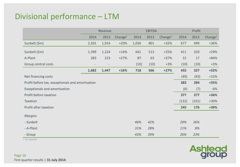#### Divisional performance – LTM

|                                                  | Revenue                  |       | <b>EBITDA</b>       |       |      | Profit              |       |       |                     |
|--------------------------------------------------|--------------------------|-------|---------------------|-------|------|---------------------|-------|-------|---------------------|
|                                                  | 2014                     | 2013  | Change <sup>1</sup> | 2014  | 2013 | Change <sup>1</sup> | 2014  | 2013  | Change <sup>1</sup> |
| Sunbelt (\$m)                                    | 2,301                    | 1,914 | $+20%$              | 1,056 | 801  | $+32%$              | 677   | 499   | $+36%$              |
| Sunbelt (£m)                                     | 1,399                    | 1,224 | $+14%$              | 641   | 513  | $+25%$              | 411   | 320   | $+29%$              |
| A-Plant                                          | 283                      | 223   | $+27%$              | 87    | 63   | $+37%$              | 31    | 17    | $+84%$              |
| Group central costs                              | $\overline{\phantom{m}}$ |       |                     | (10)  | (10) | $+3%$               | (10)  | (10)  | $+3%$               |
|                                                  | 1,682                    | 1,447 | $+16%$              | 718   | 566  | $+27%$              | 432   | 327   | $+32%$              |
| Net financing costs                              |                          |       |                     |       |      |                     | (49)  | (43)  | $+15%$              |
| Profit before tax, exceptionals and amortisation |                          |       |                     |       |      |                     | 383   | 284   | $+35%$              |
| Exceptionals and amortisation                    |                          |       |                     |       |      |                     | (6)   | (7)   | $-6%$               |
| Profit before taxation                           |                          |       |                     |       |      |                     | 377   | 277   | +36%                |
| Taxation                                         |                          |       |                     |       |      |                     | (132) | (101) | $+30%$              |
| Profit after taxation                            |                          |       |                     |       |      |                     | 245   | 176   | +39%                |
| <b>Margins</b>                                   |                          |       |                     |       |      |                     |       |       |                     |
| - Sunbelt                                        |                          |       |                     | 46%   | 42%  |                     | 29%   | 26%   |                     |
| - A-Plant                                        |                          |       |                     | 31%   | 28%  |                     | 11%   | 8%    |                     |
| - Group                                          |                          |       |                     | 43%   | 39%  |                     | 26%   | 23%   |                     |

*1.As reported*

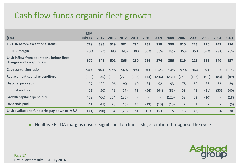#### Cash flow funds organic fleet growth

|                                                                      | <b>LTM</b> |       |       |       |       |      |                          |       |       |       |                          |                          |      |
|----------------------------------------------------------------------|------------|-------|-------|-------|-------|------|--------------------------|-------|-------|-------|--------------------------|--------------------------|------|
| f(m)                                                                 | July 14    | 2014  | 2013  | 2012  | 2011  | 2010 | 2009                     | 2008  | 2007  | 2006  | 2005                     | 2004                     | 2003 |
| <b>EBITDA before exceptional items</b>                               | 718        | 685   | 519   | 381   | 284   | 255  | 359                      | 380   | 310   | 225   | 170                      | 147                      | 150  |
| <b>EBITDA</b> margin                                                 | 43%        | 42%   | 38%   | 34%   | 30%   | 30%  | 33%                      | 38%   | 35%   | 35%   | 32%                      | 29%                      | 28%  |
| Cash inflow from operations before fleet<br>changes and exceptionals | 672        | 646   | 501   | 365   | 280   | 266  | 374                      | 356   | 319   | 215   | 165                      | 140                      | 157  |
| Cash conversion ratio                                                | 94%        | 94%   | 97%   | 96%   | 99%   | 104% | 104%                     | 94%   | 97%   | 96%   | 97%                      | 95%                      | 105% |
| Replacement capital expenditure                                      | (328)      | (335) | (329) | (273) | (203) | (43) | (236)                    | (231) | (245) | (167) | (101)                    | (83)                     | (89) |
| Disposal proceeds                                                    | 97         | 102   | 96    | 90    | 60    | 31   | 92                       | 93    | 78    | 50    | 36                       | 32                       | 29   |
| Interest and tax                                                     | (63)       | (56)  | (48)  | (57)  | (71)  | (54) | (64)                     | (83)  | (69)  | (41)  | (31)                     | (33)                     | (40) |
| Growth capital expenditure                                           | (458)      | (406) | (254) | (135) |       |      | $\overline{\phantom{a}}$ | (120) | (63)  | (63)  | (10)                     | $\sim$                   | (18) |
| Dividends paid                                                       | (41)       | (41)  | (20)  | (15)  | (15)  | (13) | (13)                     | (10)  | (7)   | (2)   | $\overline{\phantom{a}}$ | $\overline{\phantom{a}}$ | (9)  |
| Cash available to fund debt pay down or M&A                          | (121)      | (90)  | (54)  | (25)  | 51    | 187  | 153                      | 5     | 13    | (8)   | 59                       | 56                       | 30   |

● Healthy EBITDA margins ensure significant top line cash generation throughout the cycle

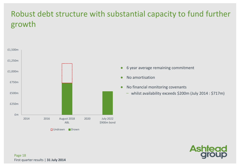### Robust debt structure with substantial capacity to fund further growth



- 6 year average remaining commitment
- No amortisation
- No financial monitoring covenants
	- whilst availability exceeds \$200m (July 2014 : \$717m)



Page 18 First quarter results | **31 July 2014**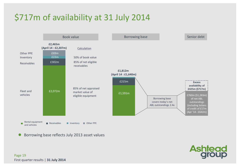### \$717m of availability at 31 July 2014



Borrowing base reflects July 2013 asset values